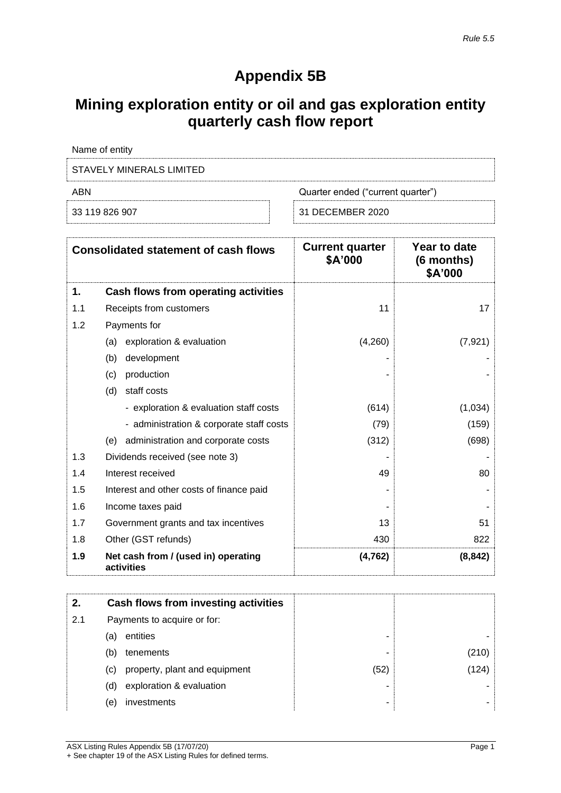# **Appendix 5B**

# **Mining exploration entity or oil and gas exploration entity quarterly cash flow report**

| Name of entity           |                                   |
|--------------------------|-----------------------------------|
| STAVELY MINERALS LIMITED |                                   |
| ABN                      | Quarter ended ("current quarter") |
| 33 119 826 907           | 31 DECEMBER 2020                  |

|     | <b>Consolidated statement of cash flows</b>       | <b>Current quarter</b><br>\$A'000 | Year to date<br>(6 months)<br>\$A'000 |
|-----|---------------------------------------------------|-----------------------------------|---------------------------------------|
| 1.  | Cash flows from operating activities              |                                   |                                       |
| 1.1 | Receipts from customers                           | 11                                | 17                                    |
| 1.2 | Payments for                                      |                                   |                                       |
|     | exploration & evaluation<br>(a)                   | (4,260)                           | (7, 921)                              |
|     | development<br>(b)                                |                                   |                                       |
|     | production<br>(c)                                 |                                   |                                       |
|     | (d)<br>staff costs                                |                                   |                                       |
|     | - exploration & evaluation staff costs            | (614)                             | (1,034)                               |
|     | - administration & corporate staff costs          | (79)                              | (159)                                 |
|     | administration and corporate costs<br>(e)         | (312)                             | (698)                                 |
| 1.3 | Dividends received (see note 3)                   |                                   |                                       |
| 1.4 | Interest received                                 | 49                                | 80                                    |
| 1.5 | Interest and other costs of finance paid          |                                   |                                       |
| 1.6 | Income taxes paid                                 |                                   |                                       |
| 1.7 | Government grants and tax incentives              | 13                                | 51                                    |
| 1.8 | Other (GST refunds)                               | 430                               | 822                                   |
| 1.9 | Net cash from / (used in) operating<br>activities | (4, 762)                          | (8, 842)                              |

| 2.  | Cash flows from investing activities |      |      |
|-----|--------------------------------------|------|------|
| 2.1 | Payments to acquire or for:          |      |      |
|     | entities<br>(a)                      | ۰    |      |
|     | tenements<br>(b)                     | -    | 210) |
|     | property, plant and equipment<br>(C) | (52) | (124 |
|     | exploration & evaluation<br>(d)      | ٠    |      |
|     | investments<br>(e)                   | -    |      |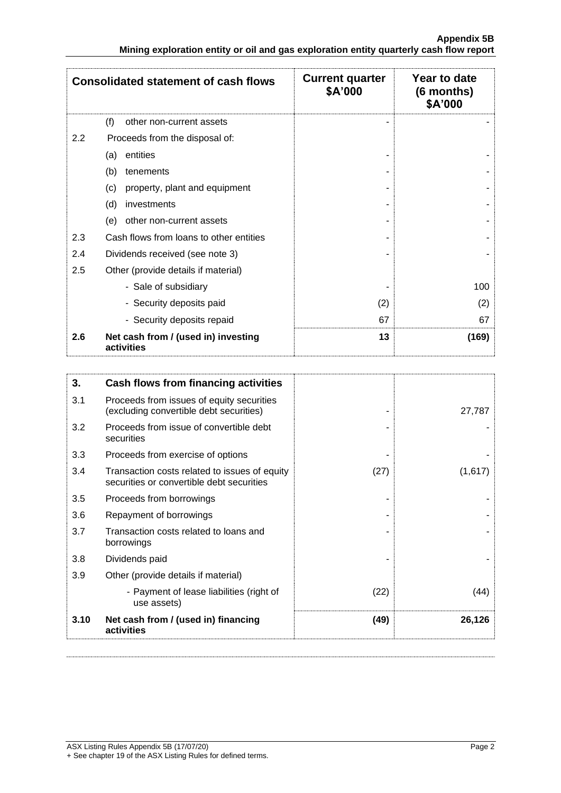|     | <b>Consolidated statement of cash flows</b>       | <b>Current quarter</b><br>\$A'000 | Year to date<br>(6 months)<br>\$A'000 |
|-----|---------------------------------------------------|-----------------------------------|---------------------------------------|
|     | (f)<br>other non-current assets                   |                                   |                                       |
| 2.2 | Proceeds from the disposal of:                    |                                   |                                       |
|     | entities<br>(a)                                   |                                   |                                       |
|     | (b)<br>tenements                                  |                                   |                                       |
|     | property, plant and equipment<br>(c)              |                                   |                                       |
|     | (d)<br>investments                                |                                   |                                       |
|     | other non-current assets<br>(e)                   |                                   |                                       |
| 2.3 | Cash flows from loans to other entities           |                                   |                                       |
| 2.4 | Dividends received (see note 3)                   |                                   |                                       |
| 2.5 | Other (provide details if material)               |                                   |                                       |
|     | - Sale of subsidiary                              |                                   | 100                                   |
|     | - Security deposits paid                          | (2)                               | (2)                                   |
|     | - Security deposits repaid                        | 67                                | 67                                    |
| 2.6 | Net cash from / (used in) investing<br>activities | 13                                | (169)                                 |

| 3.   | Cash flows from financing activities                                                       |      |         |
|------|--------------------------------------------------------------------------------------------|------|---------|
| 3.1  | Proceeds from issues of equity securities<br>(excluding convertible debt securities)       |      | 27,787  |
| 3.2  | Proceeds from issue of convertible debt<br>securities                                      |      |         |
| 3.3  | Proceeds from exercise of options                                                          |      |         |
| 3.4  | Transaction costs related to issues of equity<br>securities or convertible debt securities | (27) | (1,617) |
| 3.5  | Proceeds from borrowings                                                                   |      |         |
| 3.6  | Repayment of borrowings                                                                    |      |         |
| 3.7  | Transaction costs related to loans and<br>borrowings                                       |      |         |
| 3.8  | Dividends paid                                                                             |      |         |
| 3.9  | Other (provide details if material)                                                        |      |         |
|      | - Payment of lease liabilities (right of<br>use assets)                                    | (22) | (44)    |
| 3.10 | Net cash from / (used in) financing<br>activities                                          | (49) | 26,126  |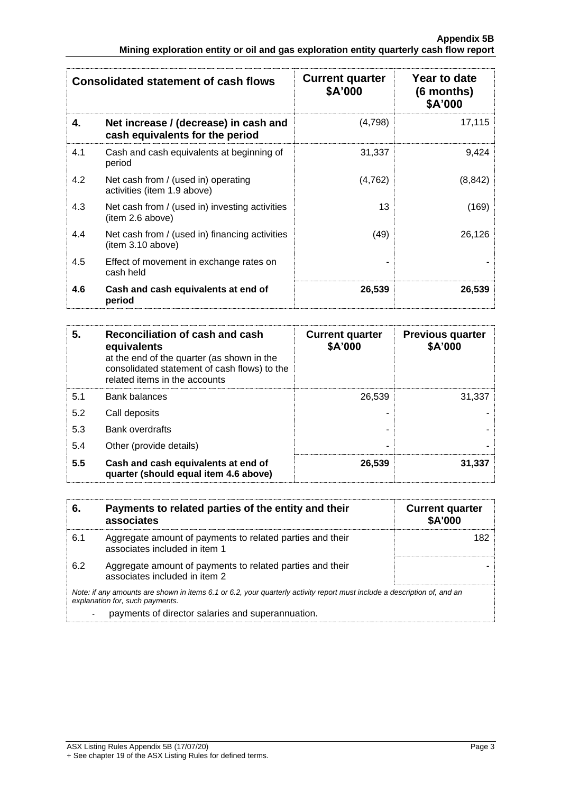| <b>Consolidated statement of cash flows</b> |                                                                          | <b>Current quarter</b><br>\$A'000 | Year to date<br>$(6$ months)<br>\$A'000 |
|---------------------------------------------|--------------------------------------------------------------------------|-----------------------------------|-----------------------------------------|
| 4.                                          | Net increase / (decrease) in cash and<br>cash equivalents for the period | (4,798)                           | 17,115                                  |
| 4.1                                         | Cash and cash equivalents at beginning of<br>period                      | 31,337                            | 9,424                                   |
| 4.2                                         | Net cash from / (used in) operating<br>activities (item 1.9 above)       | (4, 762)                          | (8, 842)                                |
| 4.3                                         | Net cash from / (used in) investing activities<br>(item 2.6 above)       | 13                                | (169)                                   |
| 4.4                                         | Net cash from / (used in) financing activities<br>(item 3.10 above)      | (49)                              | 26,126                                  |
| 4.5                                         | Effect of movement in exchange rates on<br>cash held                     |                                   |                                         |
| 4.6                                         | Cash and cash equivalents at end of<br>period                            | 26,539                            | 26,539                                  |

| 5.  | Reconciliation of cash and cash<br>equivalents<br>at the end of the quarter (as shown in the<br>consolidated statement of cash flows) to the<br>related items in the accounts | <b>Current quarter</b><br>\$A'000 | <b>Previous quarter</b><br>\$A'000 |
|-----|-------------------------------------------------------------------------------------------------------------------------------------------------------------------------------|-----------------------------------|------------------------------------|
| 5.1 | <b>Bank balances</b>                                                                                                                                                          | 26.539                            | 31.337                             |
| 5.2 | Call deposits                                                                                                                                                                 |                                   |                                    |
| 5.3 | <b>Bank overdrafts</b>                                                                                                                                                        |                                   |                                    |
| 5.4 | Other (provide details)                                                                                                                                                       |                                   |                                    |
| 5.5 | Cash and cash equivalents at end of<br>quarter (should equal item 4.6 above)                                                                                                  | 26,539                            | 31,337                             |

| 6.  | Payments to related parties of the entity and their<br>associates                                                                                           | <b>Current quarter</b><br><b>\$A'000</b> |
|-----|-------------------------------------------------------------------------------------------------------------------------------------------------------------|------------------------------------------|
| 6.1 | Aggregate amount of payments to related parties and their<br>associates included in item 1                                                                  | 182                                      |
| 6.2 | Aggregate amount of payments to related parties and their<br>associates included in item 2                                                                  |                                          |
|     | Note: if any amounts are shown in items 6.1 or 6.2, your quarterly activity report must include a description of, and an<br>explanation for, such payments. |                                          |
|     | payments of director salaries and superannuation.                                                                                                           |                                          |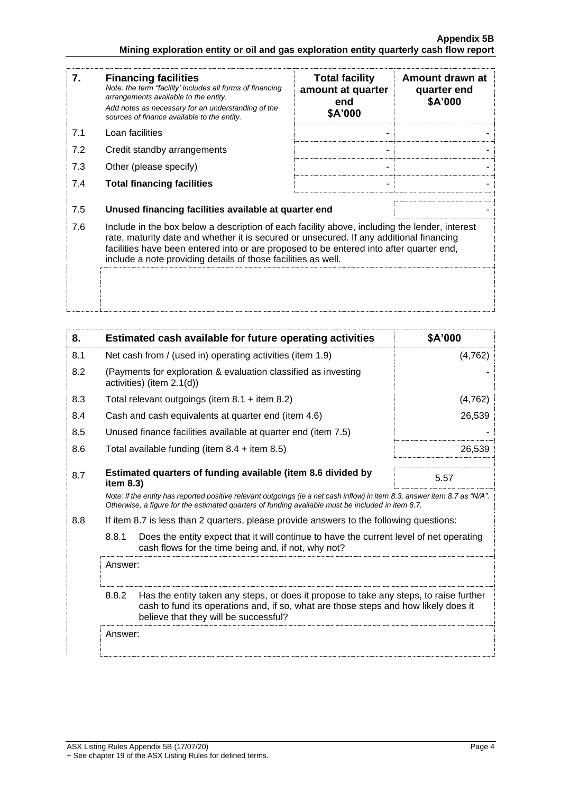| 7.  | <b>Financing facilities</b><br>Note: the term "facility' includes all forms of financing<br>arrangements available to the entity.<br>Add notes as necessary for an understanding of the<br>sources of finance available to the entity.                                                                                                               | <b>Total facility</b><br>amount at quarter<br>end<br>\$A'000 | Amount drawn at<br>quarter end<br>\$A'000 |
|-----|------------------------------------------------------------------------------------------------------------------------------------------------------------------------------------------------------------------------------------------------------------------------------------------------------------------------------------------------------|--------------------------------------------------------------|-------------------------------------------|
| 7.1 | Loan facilities                                                                                                                                                                                                                                                                                                                                      |                                                              |                                           |
| 7.2 | Credit standby arrangements                                                                                                                                                                                                                                                                                                                          |                                                              |                                           |
| 7.3 | Other (please specify)                                                                                                                                                                                                                                                                                                                               |                                                              |                                           |
| 7.4 | <b>Total financing facilities</b>                                                                                                                                                                                                                                                                                                                    |                                                              |                                           |
| 7.5 | Unused financing facilities available at quarter end                                                                                                                                                                                                                                                                                                 |                                                              |                                           |
| 7.6 | Include in the box below a description of each facility above, including the lender, interest<br>rate, maturity date and whether it is secured or unsecured. If any additional financing<br>facilities have been entered into or are proposed to be entered into after quarter end,<br>include a note providing details of those facilities as well. |                                                              |                                           |
|     |                                                                                                                                                                                                                                                                                                                                                      |                                                              |                                           |

| 8.  |                                                           | Estimated cash available for future operating activities                                                                                                                                                                        | \$A'000  |
|-----|-----------------------------------------------------------|---------------------------------------------------------------------------------------------------------------------------------------------------------------------------------------------------------------------------------|----------|
| 8.1 | Net cash from / (used in) operating activities (item 1.9) |                                                                                                                                                                                                                                 | (4, 762) |
| 8.2 |                                                           | (Payments for exploration & evaluation classified as investing<br>activities) (item 2.1(d))                                                                                                                                     |          |
| 8.3 |                                                           | Total relevant outgoings (item $8.1 +$ item $8.2$ )                                                                                                                                                                             | (4, 762) |
| 8.4 |                                                           | Cash and cash equivalents at quarter end (item 4.6)                                                                                                                                                                             | 26,539   |
| 8.5 |                                                           | Unused finance facilities available at quarter end (item 7.5)                                                                                                                                                                   |          |
| 8.6 |                                                           | Total available funding (item $8.4 +$ item $8.5$ )                                                                                                                                                                              | 26,539   |
| 8.7 | item $8.3$ )                                              | Estimated quarters of funding available (item 8.6 divided by                                                                                                                                                                    | 5.57     |
|     |                                                           | Note: if the entity has reported positive relevant outgoings (ie a net cash inflow) in item 8.3, answer item 8.7 as "N/A".<br>Otherwise, a figure for the estimated quarters of funding available must be included in item 8.7. |          |
| 8.8 |                                                           | If item 8.7 is less than 2 quarters, please provide answers to the following questions:                                                                                                                                         |          |
|     | 8.8.1                                                     | Does the entity expect that it will continue to have the current level of net operating<br>cash flows for the time being and, if not, why not?                                                                                  |          |
|     | Answer:                                                   |                                                                                                                                                                                                                                 |          |
|     | 8.8.2                                                     | Has the entity taken any steps, or does it propose to take any steps, to raise further<br>cash to fund its operations and, if so, what are those steps and how likely does it<br>believe that they will be successful?          |          |
|     | Answer:                                                   |                                                                                                                                                                                                                                 |          |
|     |                                                           |                                                                                                                                                                                                                                 |          |